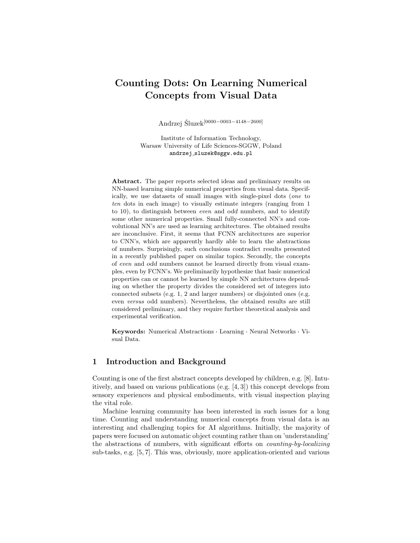# Counting Dots: On Learning Numerical Concepts from Visual Data

Andrzej Śluzek<sup>[0000–0003–4148–2600]</sup>

Institute of Information Technology, Warsaw University of Life Sciences-SGGW, Poland andrzej sluzek@sggw.edu.pl

Abstract. The paper reports selected ideas and preliminary results on NN-based learning simple numerical properties from visual data. Specifically, we use datasets of small images with single-pixel dots (one to ten dots in each image) to visually estimate integers (ranging from 1 to 10), to distinguish between even and odd numbers, and to identify some other numerical properties. Small fully-connected NN's and convolutional NN's are used as learning architectures. The obtained results are inconclusive. First, it seems that FCNN architectures are superior to CNN's, which are apparently hardly able to learn the abstractions of numbers. Surprisingly, such conclusions contradict results presented in a recently published paper on similar topics. Secondly, the concepts of even and odd numbers cannot be learned directly from visual examples, even by FCNN's. We preliminarily hypothesize that basic numerical properties can or cannot be learned by simple NN architectures depending on whether the property divides the considered set of integers into connected subsets (e.g. 1, 2 and larger numbers) or disjointed ones (e.g. even versus odd numbers). Nevertheless, the obtained results are still considered preliminary, and they require further theoretical analysis and experimental verification.

Keywords: Numerical Abstractions · Learning · Neural Networks · Visual Data.

### 1 Introduction and Background

Counting is one of the first abstract concepts developed by children, e.g. [8]. Intuitively, and based on various publications (e.g.  $[4,3]$ ) this concept develops from sensory experiences and physical embodiments, with visual inspection playing the vital role.

Machine learning community has been interested in such issues for a long time. Counting and understanding numerical concepts from visual data is an interesting and challenging topics for AI algorithms. Initially, the majority of papers were focused on automatic object counting rather than on 'understanding' the abstractions of numbers, with significant efforts on counting-by-localizing sub-tasks, e.g. [5, 7]. This was, obviously, more application-oriented and various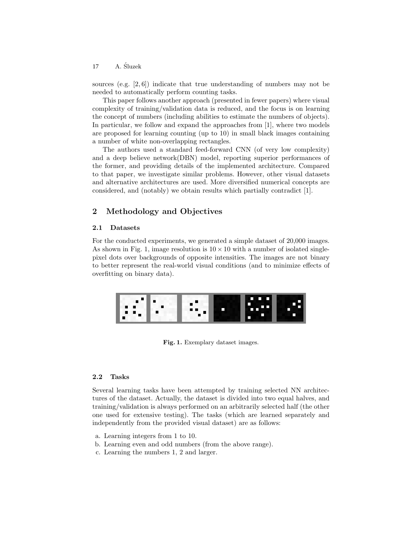A. Sluzek ´ 17

sources (e.g.  $[2, 6]$ ) indicate that true understanding of numbers may not be needed to automatically perform counting tasks.

This paper follows another approach (presented in fewer papers) where visual complexity of training/validation data is reduced, and the focus is on learning the concept of numbers (including abilities to estimate the numbers of objects). In particular, we follow and expand the approaches from [1], where two models are proposed for learning counting (up to 10) in small black images containing a number of white non-overlapping rectangles.

The authors used a standard feed-forward CNN (of very low complexity) and a deep believe network(DBN) model, reporting superior performances of the former, and providing details of the implemented architecture. Compared to that paper, we investigate similar problems. However, other visual datasets and alternative architectures are used. More diversified numerical concepts are considered, and (notably) we obtain results which partially contradict [1].

## 2 Methodology and Objectives

#### 2.1 Datasets

For the conducted experiments, we generated a simple dataset of 20,000 images. As shown in Fig. 1, image resolution is  $10 \times 10$  with a number of isolated singlepixel dots over backgrounds of opposite intensities. The images are not binary to better represent the real-world visual conditions (and to minimize effects of overfitting on binary data).



Fig. 1. Exemplary dataset images.

#### 2.2 Tasks

Several learning tasks have been attempted by training selected NN architectures of the dataset. Actually, the dataset is divided into two equal halves, and training/validation is always performed on an arbitrarily selected half (the other one used for extensive testing). The tasks (which are learned separately and independently from the provided visual dataset) are as follows:

- a. Learning integers from 1 to 10.
- b. Learning even and odd numbers (from the above range).
- c. Learning the numbers 1, 2 and larger.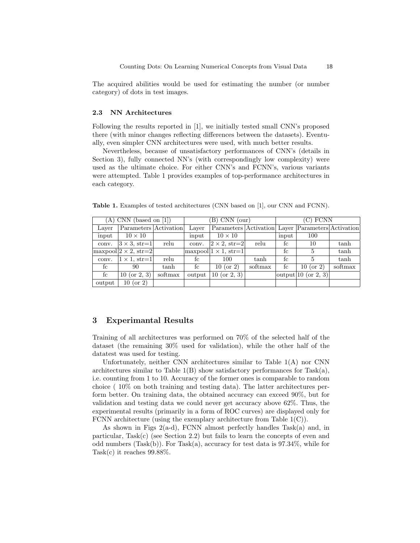The acquired abilities would be used for estimating the number (or number category) of dots in test images.

#### 2.3 NN Architectures

Following the results reported in [1], we initially tested small CNN's proposed there (with minor changes reflecting differences between the datasets). Eventually, even simpler CNN architectures were used, with much better results.

Nevertheless, because of unsatisfactory performances of CNN's (details in Section 3), fully connected NN's (with correspondingly low complexity) were used as the ultimate choice. For either CNN's and FCNN's, various variants were attempted. Table 1 provides examples of top-performance architectures in each category.

Table 1. Examples of tested architectures (CNN based on [1], our CNN and FCNN).

| $(A)$ CNN (based on [1]) |                              |         | (B) CNN (our) |                                                   |         | (C) FCNN    |                                          |         |
|--------------------------|------------------------------|---------|---------------|---------------------------------------------------|---------|-------------|------------------------------------------|---------|
| Layer                    | Parameters Activation        |         | Layer         | Parameters Activation Layer Parameters Activation |         |             |                                          |         |
| input                    | $10 \times 10$               |         | input         | $10 \times 10$                                    |         | input       | 100                                      |         |
| conv.                    | $ 3 \times 3$ , str=1        | relu    | conv.         | $ 2 \times 2$ , str=2                             | relu    | fc          | 10                                       | tanh    |
|                          | $maxpool 2 \times 2$ , str=2 |         |               | $\text{maxpool}   1 \times 1, \text{str=1}$       |         | fc          | $\mathbf{5}$                             | tanh    |
| conv.                    | $1 \times 1$ , str=1         | relu    | fc            | 100                                               | tanh    | fc          | 5                                        | tanh    |
| fc                       | 90                           | tanh    | $_{\rm fc}$   | $10$ (or 2)                                       | softmax | $_{\rm fc}$ | $10$ (or 2)                              | softmax |
| fc                       | $10$ (or $2, 3$ )            | softmax | output        | $10$ (or $2, 3$ )                                 |         |             | $\vert \text{output} \vert 10$ (or 2, 3) |         |
| output                   | $10$ (or 2)                  |         |               |                                                   |         |             |                                          |         |

#### 3 Experimantal Results

Training of all architectures was performed on 70% of the selected half of the dataset (the remaining 30% used for validation), while the other half of the datatest was used for testing.

Unfortunately, neither CNN architectures similar to Table 1(A) nor CNN architectures similar to Table  $1(B)$  show satisfactory performances for Task $(a)$ , i.e. counting from 1 to 10. Accuracy of the former ones is comparable to random choice ( 10% on both training and testing data). The latter architectures perform better. On training data, the obtained accuracy can exceed 90%, but for validation and testing data we could never get accuracy above 62%. Thus, the experimental results (primarily in a form of ROC curves) are displayed only for FCNN architecture (using the exemplary architecture from Table  $1(C)$ ).

As shown in Figs 2(a-d), FCNN almost perfectly handles Task(a) and, in particular, Task $(c)$  (see Section 2.2) but fails to learn the concepts of even and odd numbers (Task(b)). For Task(a), accuracy for test data is 97.34%, while for Task $(c)$  it reaches 99.88%.